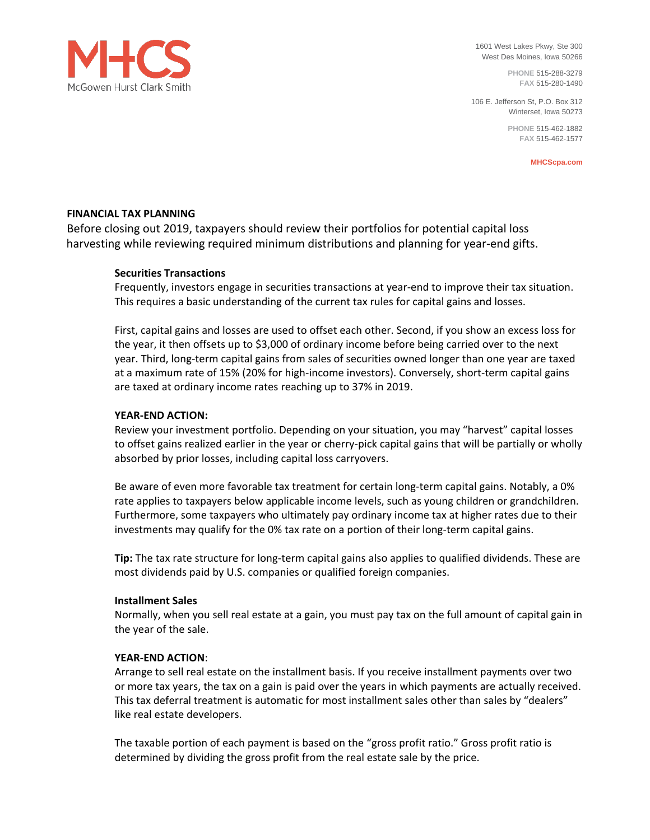

1601 West Lakes Pkwy, Ste 300 West Des Moines, Iowa 50266

> **PHONE** 515-288-3279 **FAX** 515-280-1490

106 E. Jefferson St, P.O. Box 312 Winterset, Iowa 50273

> **PHONE** 515-462-1882 **FAX** 515-462-1577

> > **MHCScpa.com**

# **FINANCIAL TAX PLANNING**

Before closing out 2019, taxpayers should review their portfolios for potential capital loss harvesting while reviewing required minimum distributions and planning for year-end gifts.

# **Securities Transactions**

Frequently, investors engage in securities transactions at year-end to improve their tax situation. This requires a basic understanding of the current tax rules for capital gains and losses.

First, capital gains and losses are used to offset each other. Second, if you show an excess loss for the year, it then offsets up to \$3,000 of ordinary income before being carried over to the next year. Third, long-term capital gains from sales of securities owned longer than one year are taxed at a maximum rate of 15% (20% for high-income investors). Conversely, short-term capital gains are taxed at ordinary income rates reaching up to 37% in 2019.

## **YEAR-END ACTION:**

Review your investment portfolio. Depending on your situation, you may "harvest" capital losses to offset gains realized earlier in the year or cherry-pick capital gains that will be partially or wholly absorbed by prior losses, including capital loss carryovers.

Be aware of even more favorable tax treatment for certain long-term capital gains. Notably, a 0% rate applies to taxpayers below applicable income levels, such as young children or grandchildren. Furthermore, some taxpayers who ultimately pay ordinary income tax at higher rates due to their investments may qualify for the 0% tax rate on a portion of their long-term capital gains.

**Tip:** The tax rate structure for long-term capital gains also applies to qualified dividends. These are most dividends paid by U.S. companies or qualified foreign companies.

## **Installment Sales**

Normally, when you sell real estate at a gain, you must pay tax on the full amount of capital gain in the year of the sale.

## **YEAR-END ACTION**:

Arrange to sell real estate on the installment basis. If you receive installment payments over two or more tax years, the tax on a gain is paid over the years in which payments are actually received. This tax deferral treatment is automatic for most installment sales other than sales by "dealers" like real estate developers.

The taxable portion of each payment is based on the "gross profit ratio." Gross profit ratio is determined by dividing the gross profit from the real estate sale by the price.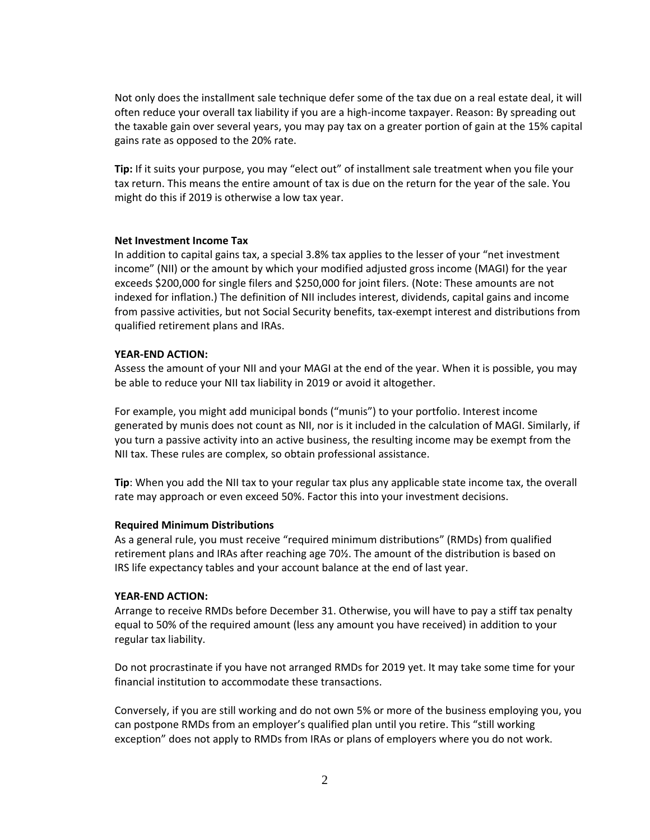Not only does the installment sale technique defer some of the tax due on a real estate deal, it will often reduce your overall tax liability if you are a high-income taxpayer. Reason: By spreading out the taxable gain over several years, you may pay tax on a greater portion of gain at the 15% capital gains rate as opposed to the 20% rate.

**Tip:** If it suits your purpose, you may "elect out" of installment sale treatment when you file your tax return. This means the entire amount of tax is due on the return for the year of the sale. You might do this if 2019 is otherwise a low tax year.

#### **Net Investment Income Tax**

In addition to capital gains tax, a special 3.8% tax applies to the lesser of your "net investment income" (NII) or the amount by which your modified adjusted gross income (MAGI) for the year exceeds \$200,000 for single filers and \$250,000 for joint filers. (Note: These amounts are not indexed for inflation.) The definition of NII includes interest, dividends, capital gains and income from passive activities, but not Social Security benefits, tax-exempt interest and distributions from qualified retirement plans and IRAs.

### **YEAR-END ACTION:**

Assess the amount of your NII and your MAGI at the end of the year. When it is possible, you may be able to reduce your NII tax liability in 2019 or avoid it altogether.

For example, you might add municipal bonds ("munis") to your portfolio. Interest income generated by munis does not count as NII, nor is it included in the calculation of MAGI. Similarly, if you turn a passive activity into an active business, the resulting income may be exempt from the NII tax. These rules are complex, so obtain professional assistance.

**Tip**: When you add the NII tax to your regular tax plus any applicable state income tax, the overall rate may approach or even exceed 50%. Factor this into your investment decisions.

## **Required Minimum Distributions**

As a general rule, you must receive "required minimum distributions" (RMDs) from qualified retirement plans and IRAs after reaching age 70½. The amount of the distribution is based on IRS life expectancy tables and your account balance at the end of last year.

#### **YEAR-END ACTION:**

Arrange to receive RMDs before December 31. Otherwise, you will have to pay a stiff tax penalty equal to 50% of the required amount (less any amount you have received) in addition to your regular tax liability.

Do not procrastinate if you have not arranged RMDs for 2019 yet. It may take some time for your financial institution to accommodate these transactions.

Conversely, if you are still working and do not own 5% or more of the business employing you, you can postpone RMDs from an employer's qualified plan until you retire. This "still working exception" does not apply to RMDs from IRAs or plans of employers where you do not work.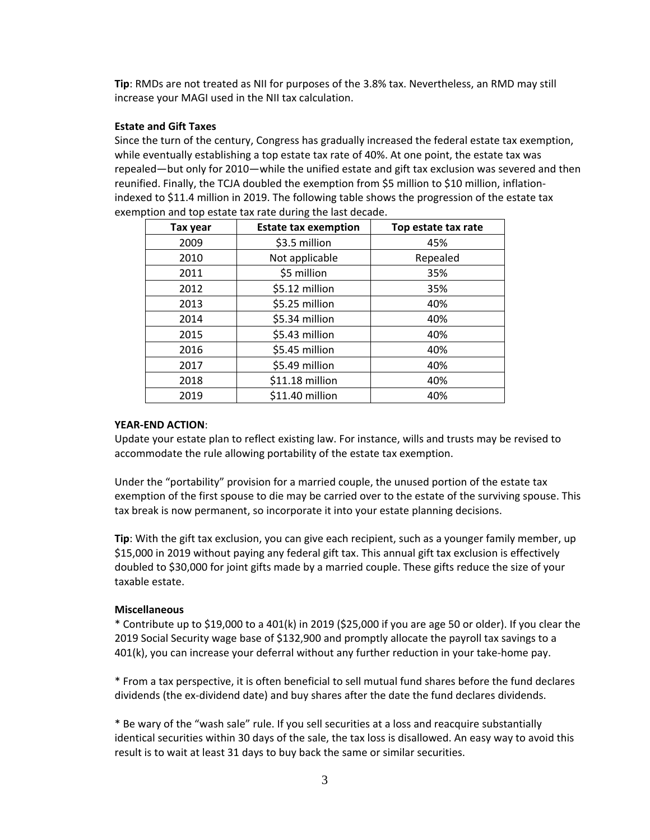**Tip**: RMDs are not treated as NII for purposes of the 3.8% tax. Nevertheless, an RMD may still increase your MAGI used in the NII tax calculation.

### **Estate and Gift Taxes**

Since the turn of the century, Congress has gradually increased the federal estate tax exemption, while eventually establishing a top estate tax rate of 40%. At one point, the estate tax was repealed—but only for 2010—while the unified estate and gift tax exclusion was severed and then reunified. Finally, the TCJA doubled the exemption from \$5 million to \$10 million, inflationindexed to \$11.4 million in 2019. The following table shows the progression of the estate tax exemption and top estate tax rate during the last decade.

| Tax year | <b>Estate tax exemption</b> | Top estate tax rate |
|----------|-----------------------------|---------------------|
| 2009     | \$3.5 million               | 45%                 |
| 2010     | Not applicable              | Repealed            |
| 2011     | \$5 million                 | 35%                 |
| 2012     | \$5.12 million              | 35%                 |
| 2013     | \$5.25 million              | 40%                 |
| 2014     | \$5.34 million              | 40%                 |
| 2015     | \$5.43 million              | 40%                 |
| 2016     | \$5.45 million              | 40%                 |
| 2017     | \$5.49 million              | 40%                 |
| 2018     | \$11.18 million             | 40%                 |
| 2019     | \$11.40 million             | 40%                 |

#### **YEAR-END ACTION**:

Update your estate plan to reflect existing law. For instance, wills and trusts may be revised to accommodate the rule allowing portability of the estate tax exemption.

Under the "portability" provision for a married couple, the unused portion of the estate tax exemption of the first spouse to die may be carried over to the estate of the surviving spouse. This tax break is now permanent, so incorporate it into your estate planning decisions.

**Tip**: With the gift tax exclusion, you can give each recipient, such as a younger family member, up \$15,000 in 2019 without paying any federal gift tax. This annual gift tax exclusion is effectively doubled to \$30,000 for joint gifts made by a married couple. These gifts reduce the size of your taxable estate.

## **Miscellaneous**

\* Contribute up to \$19,000 to a 401(k) in 2019 (\$25,000 if you are age 50 or older). If you clear the 2019 Social Security wage base of \$132,900 and promptly allocate the payroll tax savings to a 401(k), you can increase your deferral without any further reduction in your take-home pay.

\* From a tax perspective, it is often beneficial to sell mutual fund shares before the fund declares dividends (the ex-dividend date) and buy shares after the date the fund declares dividends.

\* Be wary of the "wash sale" rule. If you sell securities at a loss and reacquire substantially identical securities within 30 days of the sale, the tax loss is disallowed. An easy way to avoid this result is to wait at least 31 days to buy back the same or similar securities.